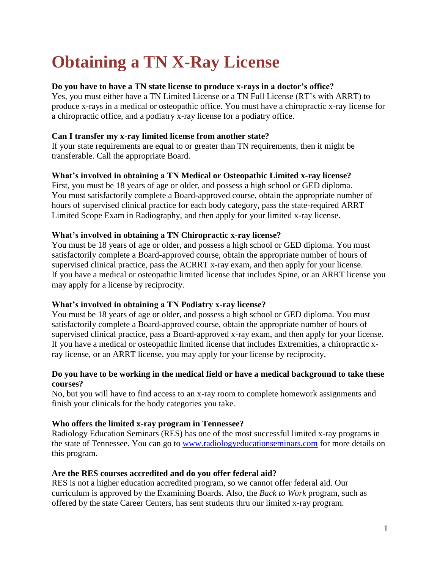# **Obtaining a TN X-Ray License**

# **Do you have to have a TN state license to produce x-rays in a doctor's office?**

Yes, you must either have a TN Limited License or a TN Full License (RT's with ARRT) to produce x-rays in a medical or osteopathic office. You must have a chiropractic x-ray license for a chiropractic office, and a podiatry x-ray license for a podiatry office.

# **Can I transfer my x-ray limited license from another state?**

If your state requirements are equal to or greater than TN requirements, then it might be transferable. Call the appropriate Board.

# **What's involved in obtaining a TN Medical or Osteopathic Limited x-ray license?**

First, you must be 18 years of age or older, and possess a high school or GED diploma. You must satisfactorily complete a Board-approved course, obtain the appropriate number of hours of supervised clinical practice for each body category, pass the state-required ARRT Limited Scope Exam in Radiography, and then apply for your limited x-ray license.

## **What's involved in obtaining a TN Chiropractic x-ray license?**

You must be 18 years of age or older, and possess a high school or GED diploma. You must satisfactorily complete a Board-approved course, obtain the appropriate number of hours of supervised clinical practice, pass the ACRRT x-ray exam, and then apply for your license. If you have a medical or osteopathic limited license that includes Spine, or an ARRT license you may apply for a license by reciprocity.

## **What's involved in obtaining a TN Podiatry x-ray license?**

You must be 18 years of age or older, and possess a high school or GED diploma. You must satisfactorily complete a Board-approved course, obtain the appropriate number of hours of supervised clinical practice, pass a Board-approved x-ray exam, and then apply for your license. If you have a medical or osteopathic limited license that includes Extremities, a chiropractic xray license, or an ARRT license, you may apply for your license by reciprocity.

#### **Do you have to be working in the medical field or have a medical background to take these courses?**

No, but you will have to find access to an x-ray room to complete homework assignments and finish your clinicals for the body categories you take.

## **Who offers the limited x-ray program in Tennessee?**

Radiology Education Seminars (RES) has one of the most successful limited x-ray programs in the state of Tennessee. You can go to [www.radiologyeducationseminars.com](http://www.radiologyeducationseminars.com/) for more details on this program.

## **Are the RES courses accredited and do you offer federal aid?**

RES is not a higher education accredited program, so we cannot offer federal aid. Our curriculum is approved by the Examining Boards. Also, the *Back to Work* program, such as offered by the state Career Centers, has sent students thru our limited x-ray program.